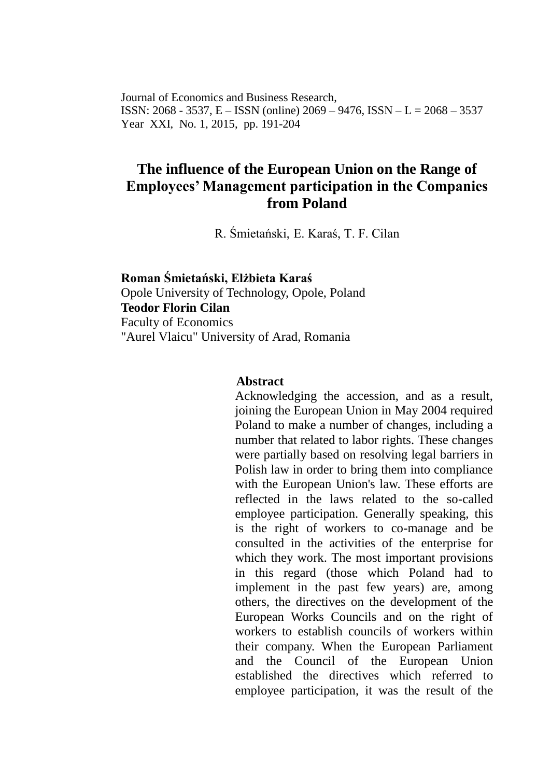Journal of Economics and Business Research, ISSN:  $2068 - 3537$ , E – ISSN (online)  $2069 - 9476$ , ISSN – L =  $2068 - 3537$ Year XXI, No. 1, 2015, pp. 191-204

# **The influence of the European Union on the Range of Employees' Management participation in the Companies from Poland**

R. Śmietański, E. Karaś, T. F. Cilan

**Roman Śmietański, Elżbieta Karaś** Opole University of Technology, Opole, Poland **Teodor Florin Cilan** Faculty of Economics "Aurel Vlaicu" University of Arad, Romania

#### **Abstract**

Acknowledging the accession, and as a result, joining the European Union in May 2004 required Poland to make a number of changes, including a number that related to labor rights. These changes were partially based on resolving legal barriers in Polish law in order to bring them into compliance with the European Union's law. These efforts are reflected in the laws related to the so-called employee participation. Generally speaking, this is the right of workers to co-manage and be consulted in the activities of the enterprise for which they work. The most important provisions in this regard (those which Poland had to implement in the past few years) are, among others, the directives on the development of the European Works Councils and on the right of workers to establish councils of workers within their company. When the European Parliament and the Council of the European Union established the directives which referred to employee participation, it was the result of the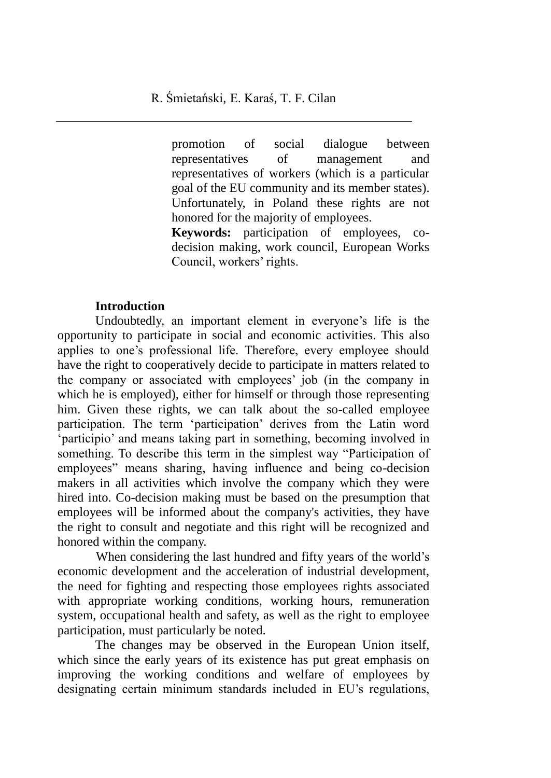promotion of social dialogue between representatives of management and representatives of workers (which is a particular goal of the EU community and its member states). Unfortunately, in Poland these rights are not honored for the majority of employees.

**Keywords:** participation of employees, codecision making, work council, European Works Council, workers' rights.

#### **Introduction**

Undoubtedly, an important element in everyone's life is the opportunity to participate in social and economic activities. This also applies to one's professional life. Therefore, every employee should have the right to cooperatively decide to participate in matters related to the company or associated with employees' job (in the company in which he is employed), either for himself or through those representing him. Given these rights, we can talk about the so-called employee participation. The term 'participation' derives from the Latin word 'participio' and means taking part in something, becoming involved in something. To describe this term in the simplest way "Participation of employees" means sharing, having influence and being co-decision makers in all activities which involve the company which they were hired into. Co-decision making must be based on the presumption that employees will be informed about the company's activities, they have the right to consult and negotiate and this right will be recognized and honored within the company.

When considering the last hundred and fifty years of the world's economic development and the acceleration of industrial development, the need for fighting and respecting those employees rights associated with appropriate working conditions, working hours, remuneration system, occupational health and safety, as well as the right to employee participation, must particularly be noted.

The changes may be observed in the European Union itself, which since the early years of its existence has put great emphasis on improving the working conditions and welfare of employees by designating certain minimum standards included in EU's regulations,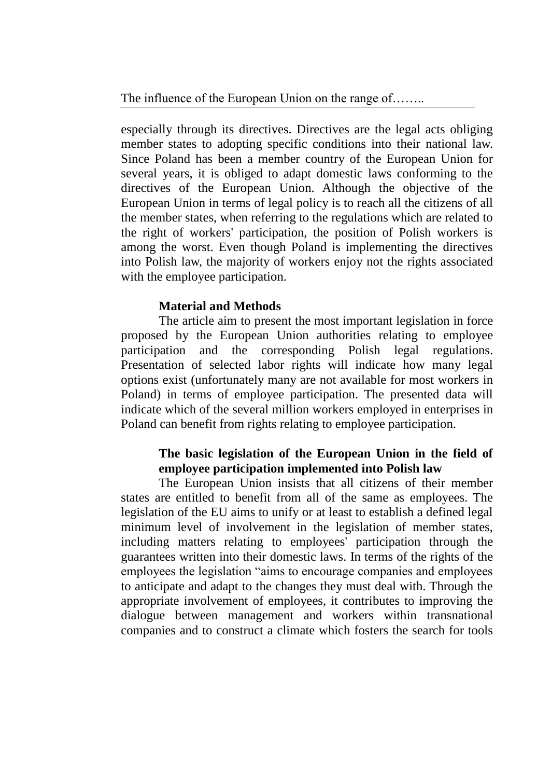especially through its directives. Directives are the legal acts obliging member states to adopting specific conditions into their national law. Since Poland has been a member country of the European Union for several years, it is obliged to adapt domestic laws conforming to the directives of the European Union. Although the objective of the European Union in terms of legal policy is to reach all the citizens of all the member states, when referring to the regulations which are related to the right of workers' participation, the position of Polish workers is among the worst. Even though Poland is implementing the directives into Polish law, the majority of workers enjoy not the rights associated with the employee participation.

## **Material and Methods**

The article aim to present the most important legislation in force proposed by the European Union authorities relating to employee participation and the corresponding Polish legal regulations. Presentation of selected labor rights will indicate how many legal options exist (unfortunately many are not available for most workers in Poland) in terms of employee participation. The presented data will indicate which of the several million workers employed in enterprises in Poland can benefit from rights relating to employee participation.

## **The basic legislation of the European Union in the field of employee participation implemented into Polish law**

The European Union insists that all citizens of their member states are entitled to benefit from all of the same as employees. The legislation of the EU aims to unify or at least to establish a defined legal minimum level of involvement in the legislation of member states, including matters relating to employees' participation through the guarantees written into their domestic laws. In terms of the rights of the employees the legislation "aims to encourage companies and employees to anticipate and adapt to the changes they must deal with. Through the appropriate involvement of employees, it contributes to improving the dialogue between management and workers within transnational companies and to construct a climate which fosters the search for tools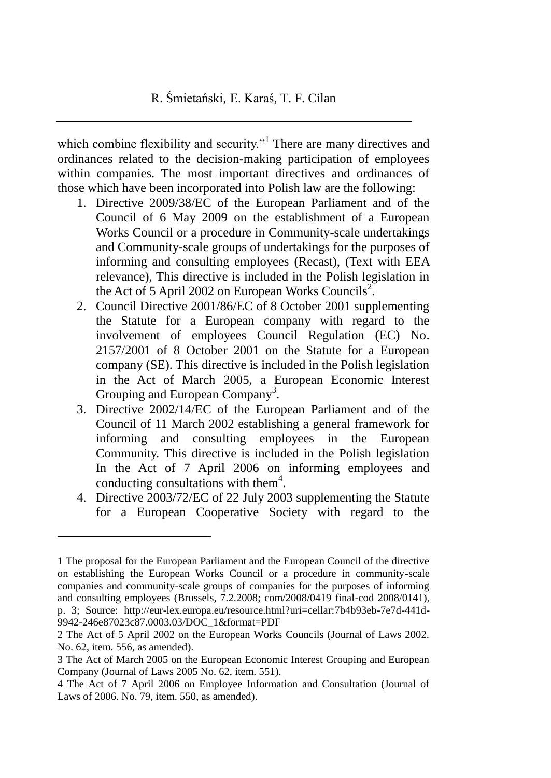which combine flexibility and security."<sup>1</sup> There are many directives and ordinances related to the decision-making participation of employees within companies. The most important directives and ordinances of those which have been incorporated into Polish law are the following:

- 1. Directive 2009/38/EC of the European Parliament and of the Council of 6 May 2009 on the establishment of a European Works Council or a procedure in Community-scale undertakings and Community-scale groups of undertakings for the purposes of informing and consulting employees (Recast), (Text with EEA relevance), This directive is included in the Polish legislation in the Act of 5 April 2002 on European Works Councils<sup>2</sup>.
- 2. Council Directive 2001/86/EC of 8 October 2001 supplementing the Statute for a European company with regard to the involvement of employees Council Regulation (EC) No. 2157/2001 of 8 October 2001 on the Statute for a European company (SE). This directive is included in the Polish legislation in the Act of March 2005, a European Economic Interest Grouping and European Company<sup>3</sup>.
- 3. Directive 2002/14/EC of the European Parliament and of the Council of 11 March 2002 establishing a general framework for informing and consulting employees in the European Community. This directive is included in the Polish legislation In the Act of 7 April 2006 on informing employees and conducting consultations with them $4$ .
- 4. Directive 2003/72/EC of 22 July 2003 supplementing the Statute for a European Cooperative Society with regard to the

1

<sup>1</sup> The proposal for the European Parliament and the European Council of the directive on establishing the European Works Council or a procedure in community-scale companies and community-scale groups of companies for the purposes of informing and consulting employees (Brussels, 7.2.2008; com/2008/0419 final-cod 2008/0141), p. 3; Source: http://eur-lex.europa.eu/resource.html?uri=cellar:7b4b93eb-7e7d-441d-9942-246e87023c87.0003.03/DOC\_1&format=PDF

<sup>2</sup> The Act of 5 April 2002 on the European Works Councils (Journal of Laws 2002. No. 62, item. 556, as amended).

<sup>3</sup> The Act of March 2005 on the European Economic Interest Grouping and European Company (Journal of Laws 2005 No. 62, item. 551).

<sup>4</sup> The Act of 7 April 2006 on Employee Information and Consultation (Journal of Laws of 2006. No. 79, item. 550, as amended).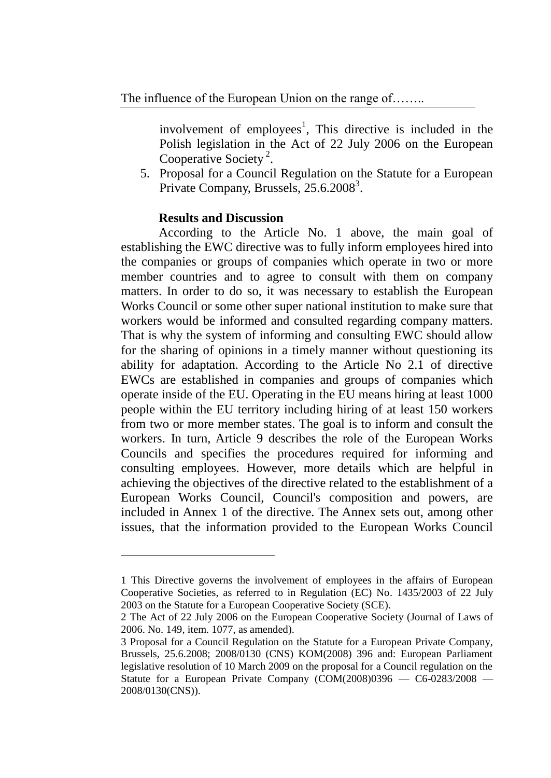The influence of the European Union on the range of........

involvement of employees<sup>1</sup>, This directive is included in the Polish legislation in the Act of 22 July 2006 on the European Cooperative Society<sup>2</sup>.

5. Proposal for a Council Regulation on the Statute for a European Private Company, Brussels, 25.6.2008<sup>3</sup>.

#### **Results and Discussion**

 $\overline{a}$ 

According to the Article No. 1 above, the main goal of establishing the EWC directive was to fully inform employees hired into the companies or groups of companies which operate in two or more member countries and to agree to consult with them on company matters. In order to do so, it was necessary to establish the European Works Council or some other super national institution to make sure that workers would be informed and consulted regarding company matters. That is why the system of informing and consulting EWC should allow for the sharing of opinions in a timely manner without questioning its ability for adaptation. According to the Article No 2.1 of directive EWCs are established in companies and groups of companies which operate inside of the EU. Operating in the EU means hiring at least 1000 people within the EU territory including hiring of at least 150 workers from two or more member states. The goal is to inform and consult the workers. In turn, Article 9 describes the role of the European Works Councils and specifies the procedures required for informing and consulting employees. However, more details which are helpful in achieving the objectives of the directive related to the establishment of a European Works Council, Council's composition and powers, are included in Annex 1 of the directive. The Annex sets out, among other issues, that the information provided to the European Works Council

<sup>1</sup> This Directive governs the involvement of employees in the affairs of European Cooperative Societies, as referred to in Regulation (EC) No. 1435/2003 of 22 July 2003 on the Statute for a European Cooperative Society (SCE).

<sup>2</sup> The Act of 22 July 2006 on the European Cooperative Society (Journal of Laws of 2006. No. 149, item. 1077, as amended).

<sup>3</sup> Proposal for a Council Regulation on the Statute for a European Private Company, Brussels, 25.6.2008; 2008/0130 (CNS) KOM(2008) 396 and: European Parliament legislative resolution of 10 March 2009 on the proposal for a Council regulation on the Statute for a European Private Company  $(COM(2008)0396 - C6-0283/2008 -$ 2008/0130(CNS)).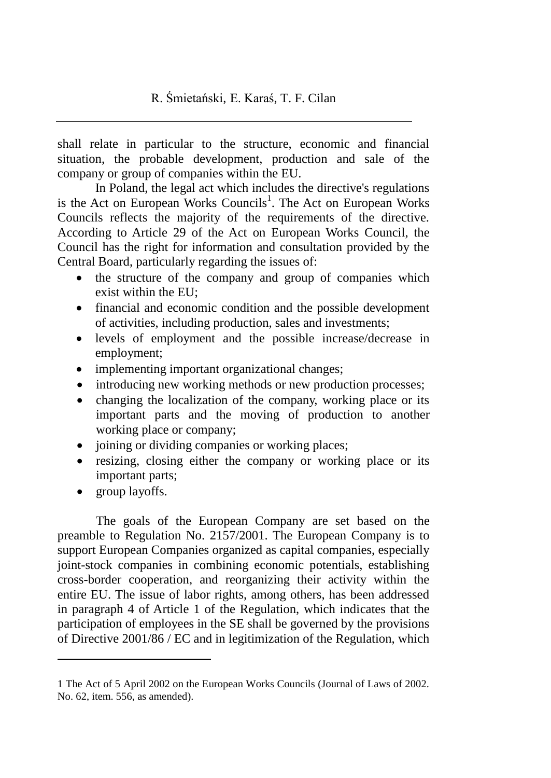shall relate in particular to the structure, economic and financial situation, the probable development, production and sale of the company or group of companies within the EU.

In Poland, the legal act which includes the directive's regulations is the Act on European Works Councils<sup>1</sup>. The Act on European Works Councils reflects the majority of the requirements of the directive. According to Article 29 of the Act on European Works Council, the Council has the right for information and consultation provided by the Central Board, particularly regarding the issues of:

- the structure of the company and group of companies which exist within the EU;
- financial and economic condition and the possible development of activities, including production, sales and investments;
- levels of employment and the possible increase/decrease in employment;
- implementing important organizational changes;
- introducing new working methods or new production processes;
- changing the localization of the company, working place or its important parts and the moving of production to another working place or company;
- joining or dividing companies or working places;
- resizing, closing either the company or working place or its important parts;
- group layoffs.

 $\overline{a}$ 

The goals of the European Company are set based on the preamble to Regulation No. 2157/2001. The European Company is to support European Companies organized as capital companies, especially joint-stock companies in combining economic potentials, establishing cross-border cooperation, and reorganizing their activity within the entire EU. The issue of labor rights, among others, has been addressed in paragraph 4 of Article 1 of the Regulation, which indicates that the participation of employees in the SE shall be governed by the provisions of Directive 2001/86 / EC and in legitimization of the Regulation, which

<sup>1</sup> The Act of 5 April 2002 on the European Works Councils (Journal of Laws of 2002. No. 62, item. 556, as amended).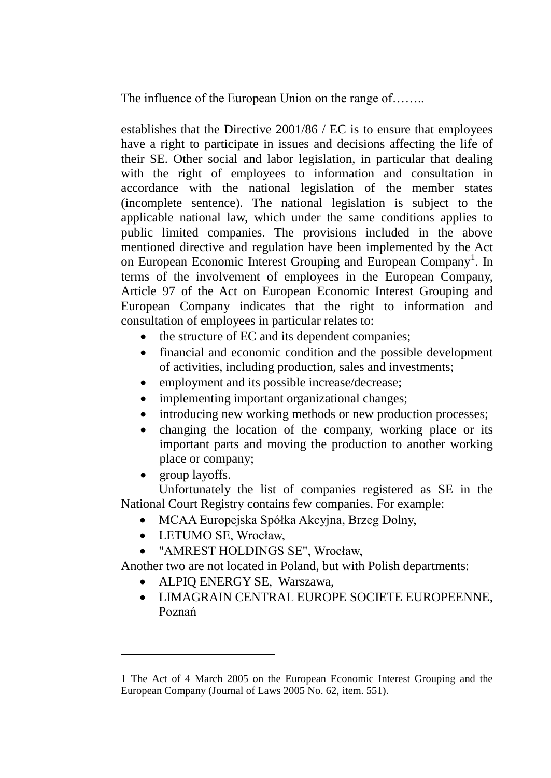establishes that the Directive 2001/86 / EC is to ensure that employees have a right to participate in issues and decisions affecting the life of their SE. Other social and labor legislation, in particular that dealing with the right of employees to information and consultation in accordance with the national legislation of the member states (incomplete sentence). The national legislation is subject to the applicable national law, which under the same conditions applies to public limited companies. The provisions included in the above mentioned directive and regulation have been implemented by the Act on European Economic Interest Grouping and European Company<sup>1</sup>. In terms of the involvement of employees in the European Company, Article 97 of the Act on European Economic Interest Grouping and European Company indicates that the right to information and consultation of employees in particular relates to:

- the structure of EC and its dependent companies;
- financial and economic condition and the possible development of activities, including production, sales and investments;
- employment and its possible increase/decrease;
- implementing important organizational changes;
- introducing new working methods or new production processes;
- changing the location of the company, working place or its important parts and moving the production to another working place or company;
- group layoffs.

 $\overline{a}$ 

Unfortunately the list of companies registered as SE in the National Court Registry contains few companies. For example:

- MCAA Europejska Spółka Akcyjna, Brzeg Dolny,
- LETUMO SE, Wrocław,
- "AMREST HOLDINGS SE", Wrocław,

Another two are not located in Poland, but with Polish departments:

- ALPIQ ENERGY SE, Warszawa,
- LIMAGRAIN CENTRAL EUROPE SOCIETE EUROPEENNE, Poznań

<sup>1</sup> The Act of 4 March 2005 on the European Economic Interest Grouping and the European Company (Journal of Laws 2005 No. 62, item. 551).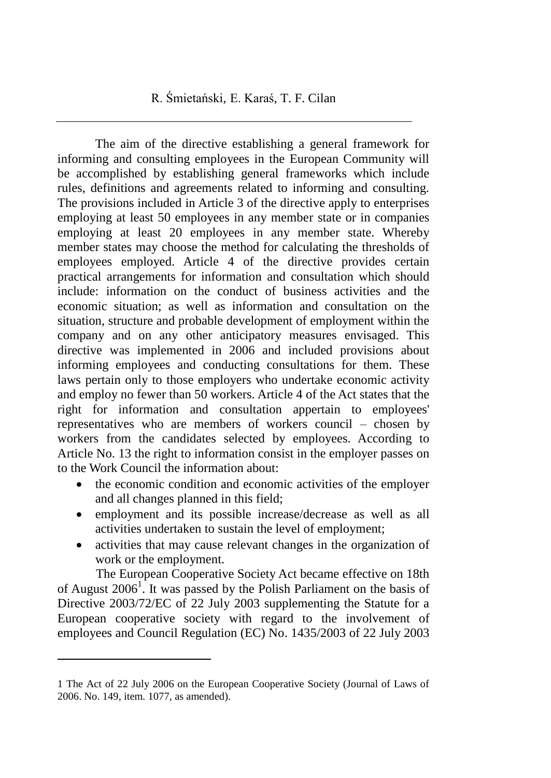The aim of the directive establishing a general framework for informing and consulting employees in the European Community will be accomplished by establishing general frameworks which include rules, definitions and agreements related to informing and consulting. The provisions included in Article 3 of the directive apply to enterprises employing at least 50 employees in any member state or in companies employing at least 20 employees in any member state. Whereby member states may choose the method for calculating the thresholds of employees employed. Article 4 of the directive provides certain practical arrangements for information and consultation which should include: information on the conduct of business activities and the economic situation; as well as information and consultation on the situation, structure and probable development of employment within the company and on any other anticipatory measures envisaged. This directive was implemented in 2006 and included provisions about informing employees and conducting consultations for them. These laws pertain only to those employers who undertake economic activity and employ no fewer than 50 workers. Article 4 of the Act states that the right for information and consultation appertain to employees' representatives who are members of workers council – chosen by workers from the candidates selected by employees. According to Article No. 13 the right to information consist in the employer passes on to the Work Council the information about:

- the economic condition and economic activities of the employer and all changes planned in this field;
- employment and its possible increase/decrease as well as all activities undertaken to sustain the level of employment;
- activities that may cause relevant changes in the organization of work or the employment.

The European Cooperative Society Act became effective on 18th of August  $2006<sup>1</sup>$ . It was passed by the Polish Parliament on the basis of Directive 2003/72/EC of 22 July 2003 supplementing the Statute for a European cooperative society with regard to the involvement of employees and Council Regulation (EC) No. 1435/2003 of 22 July 2003

 $\overline{a}$ 

<sup>1</sup> The Act of 22 July 2006 on the European Cooperative Society (Journal of Laws of 2006. No. 149, item. 1077, as amended).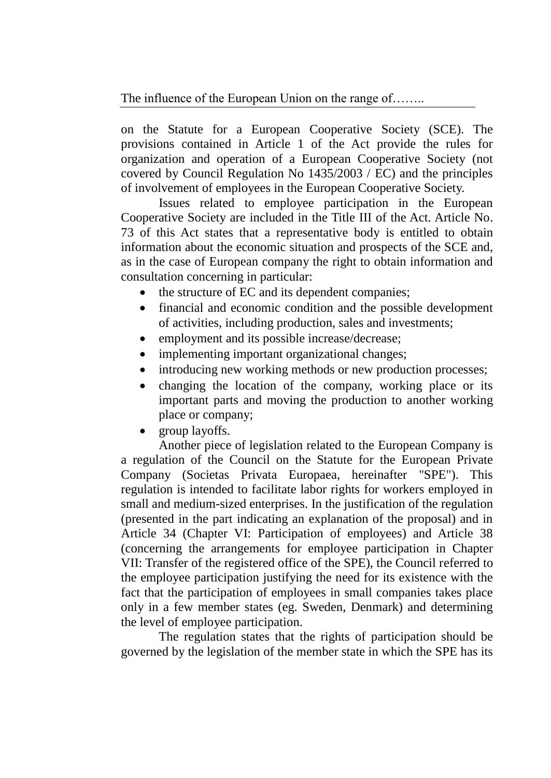on the Statute for a European Cooperative Society (SCE). The provisions contained in Article 1 of the Act provide the rules for organization and operation of a European Cooperative Society (not covered by Council Regulation No 1435/2003 / EC) and the principles of involvement of employees in the European Cooperative Society.

Issues related to employee participation in the European Cooperative Society are included in the Title III of the Act. Article No. 73 of this Act states that a representative body is entitled to obtain information about the economic situation and prospects of the SCE and, as in the case of European company the right to obtain information and consultation concerning in particular:

- the structure of EC and its dependent companies;
- financial and economic condition and the possible development of activities, including production, sales and investments;
- employment and its possible increase/decrease;
- implementing important organizational changes;
- introducing new working methods or new production processes;
- changing the location of the company, working place or its important parts and moving the production to another working place or company;
- group layoffs.

Another piece of legislation related to the European Company is a regulation of the Council on the Statute for the European Private Company (Societas Privata Europaea, hereinafter "SPE"). This regulation is intended to facilitate labor rights for workers employed in small and medium-sized enterprises. In the justification of the regulation (presented in the part indicating an explanation of the proposal) and in Article 34 (Chapter VI: Participation of employees) and Article 38 (concerning the arrangements for employee participation in Chapter VII: Transfer of the registered office of the SPE), the Council referred to the employee participation justifying the need for its existence with the fact that the participation of employees in small companies takes place only in a few member states (eg. Sweden, Denmark) and determining the level of employee participation.

The regulation states that the rights of participation should be governed by the legislation of the member state in which the SPE has its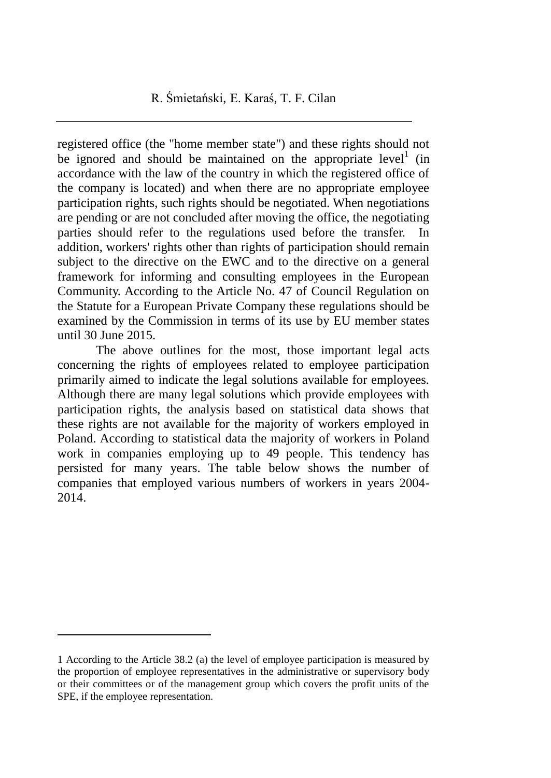registered office (the "home member state") and these rights should not be ignored and should be maintained on the appropriate  $level<sup>1</sup>$  (in accordance with the law of the country in which the registered office of the company is located) and when there are no appropriate employee participation rights, such rights should be negotiated. When negotiations are pending or are not concluded after moving the office, the negotiating parties should refer to the regulations used before the transfer. In addition, workers' rights other than rights of participation should remain subject to the directive on the EWC and to the directive on a general framework for informing and consulting employees in the European Community. According to the Article No. 47 of Council Regulation on the Statute for a European Private Company these regulations should be examined by the Commission in terms of its use by EU member states until 30 June 2015.

The above outlines for the most, those important legal acts concerning the rights of employees related to employee participation primarily aimed to indicate the legal solutions available for employees. Although there are many legal solutions which provide employees with participation rights, the analysis based on statistical data shows that these rights are not available for the majority of workers employed in Poland. According to statistical data the majority of workers in Poland work in companies employing up to 49 people. This tendency has persisted for many years. The table below shows the number of companies that employed various numbers of workers in years 2004- 2014.

 $\overline{a}$ 

<sup>1</sup> According to the Article 38.2 (a) the level of employee participation is measured by the proportion of employee representatives in the administrative or supervisory body or their committees or of the management group which covers the profit units of the SPE, if the employee representation.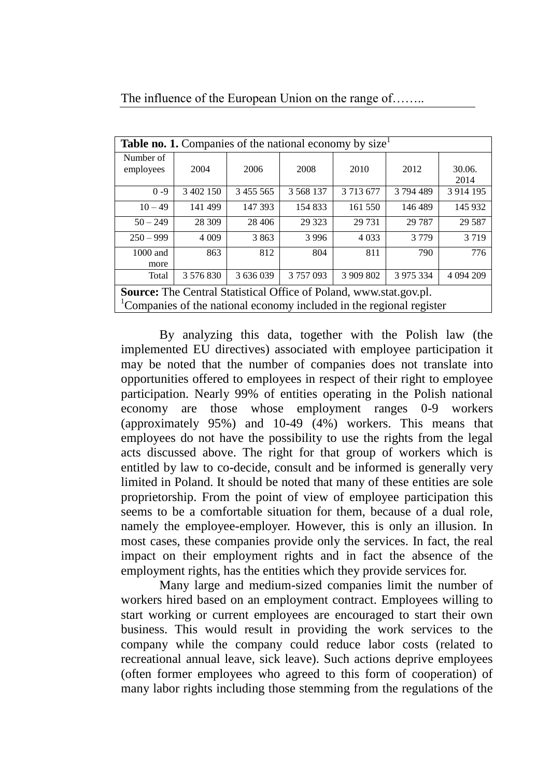| <b>Table no. 1.</b> Companies of the national economy by size       |           |           |               |           |           |             |
|---------------------------------------------------------------------|-----------|-----------|---------------|-----------|-----------|-------------|
|                                                                     |           |           |               |           |           |             |
| Number of                                                           |           |           |               |           |           |             |
| employees                                                           | 2004      | 2006      | 2008          | 2010      | 2012      | 30.06.      |
|                                                                     |           |           |               |           |           | 2014        |
| $0 - 9$                                                             | 3 402 150 | 3 455 565 | 3 5 6 8 1 3 7 | 3 713 677 | 3794489   | 3 9 14 19 5 |
|                                                                     |           |           |               |           |           |             |
| $10 - 49$                                                           | 141 499   | 147 393   | 154 833       | 161 550   | 146 489   | 145 932     |
|                                                                     |           |           |               |           |           |             |
| $50 - 249$                                                          | 28 309    | 28 4 0 6  | 29 3 23       | 29 7 31   | 29 7 87   | 29 5 87     |
| $250 - 999$                                                         | 4 0 0 9   | 3863      | 3 9 9 6       | 4 0 3 3   | 3779      | 3719        |
|                                                                     |           |           |               |           |           |             |
| 1000 and                                                            | 863       | 812       | 804           | 811       | 790       | 776         |
| more                                                                |           |           |               |           |           |             |
|                                                                     |           |           |               |           |           |             |
| Total                                                               | 3 576 830 | 3 636 039 | 3757093       | 3 909 802 | 3 975 334 | 4 094 209   |
| Source: The Central Statistical Office of Poland, www.stat.gov.pl.  |           |           |               |           |           |             |
|                                                                     |           |           |               |           |           |             |
| Companies of the national economy included in the regional register |           |           |               |           |           |             |

By analyzing this data, together with the Polish law (the implemented EU directives) associated with employee participation it may be noted that the number of companies does not translate into opportunities offered to employees in respect of their right to employee participation. Nearly 99% of entities operating in the Polish national economy are those whose employment ranges 0-9 workers (approximately 95%) and 10-49 (4%) workers. This means that employees do not have the possibility to use the rights from the legal acts discussed above. The right for that group of workers which is entitled by law to co-decide, consult and be informed is generally very limited in Poland. It should be noted that many of these entities are sole proprietorship. From the point of view of employee participation this seems to be a comfortable situation for them, because of a dual role, namely the employee-employer. However, this is only an illusion. In most cases, these companies provide only the services. In fact, the real impact on their employment rights and in fact the absence of the employment rights, has the entities which they provide services for.

Many large and medium-sized companies limit the number of workers hired based on an employment contract. Employees willing to start working or current employees are encouraged to start their own business. This would result in providing the work services to the company while the company could reduce labor costs (related to recreational annual leave, sick leave). Such actions deprive employees (often former employees who agreed to this form of cooperation) of many labor rights including those stemming from the regulations of the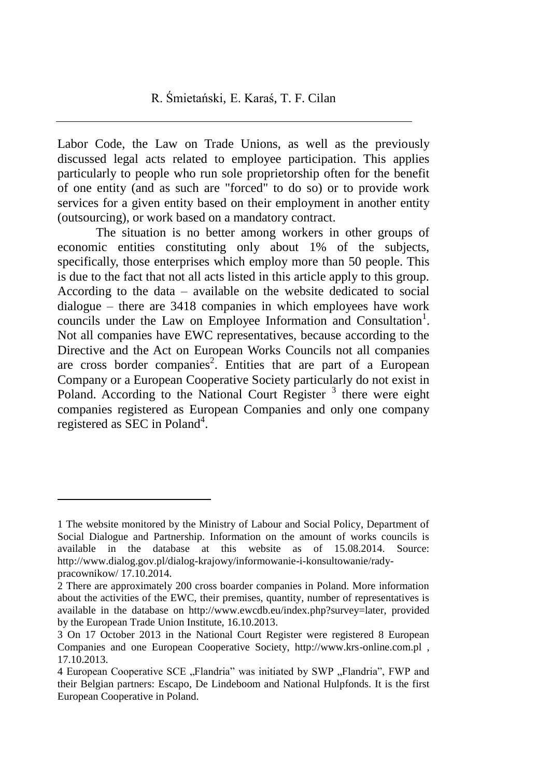Labor Code, the Law on Trade Unions, as well as the previously discussed legal acts related to employee participation. This applies particularly to people who run sole proprietorship often for the benefit of one entity (and as such are "forced" to do so) or to provide work services for a given entity based on their employment in another entity (outsourcing), or work based on a mandatory contract.

The situation is no better among workers in other groups of economic entities constituting only about 1% of the subjects, specifically, those enterprises which employ more than 50 people. This is due to the fact that not all acts listed in this article apply to this group. According to the data – available on the website dedicated to social dialogue – there are 3418 companies in which employees have work councils under the Law on Employee Information and Consultation<sup>1</sup>. Not all companies have EWC representatives, because according to the Directive and the Act on European Works Councils not all companies are cross border companies<sup>2</sup>. Entities that are part of a European Company or a European Cooperative Society particularly do not exist in Poland. According to the National Court Register<sup>3</sup> there were eight companies registered as European Companies and only one company registered as SEC in Poland<sup>4</sup>.

 $\overline{a}$ 

<sup>1</sup> The website monitored by the Ministry of Labour and Social Policy, Department of Social Dialogue and Partnership. Information on the amount of works councils is available in the database at this website as of 15.08.2014. Source: http://www.dialog.gov.pl/dialog-krajowy/informowanie-i-konsultowanie/radypracownikow/ 17.10.2014.

<sup>2</sup> There are approximately 200 cross boarder companies in Poland. More information about the activities of the EWC, their premises, quantity, number of representatives is available in the database on http://www.ewcdb.eu/index.php?survey=later, provided by the European Trade Union Institute, 16.10.2013.

<sup>3</sup> On 17 October 2013 in the National Court Register were registered 8 European Companies and one European Cooperative Society, http://www.krs-online.com.pl , 17.10.2013.

<sup>4</sup> European Cooperative SCE . Flandria" was initiated by SWP . Flandria", FWP and their Belgian partners: Escapo, De Lindeboom and National Hulpfonds. It is the first European Cooperative in Poland.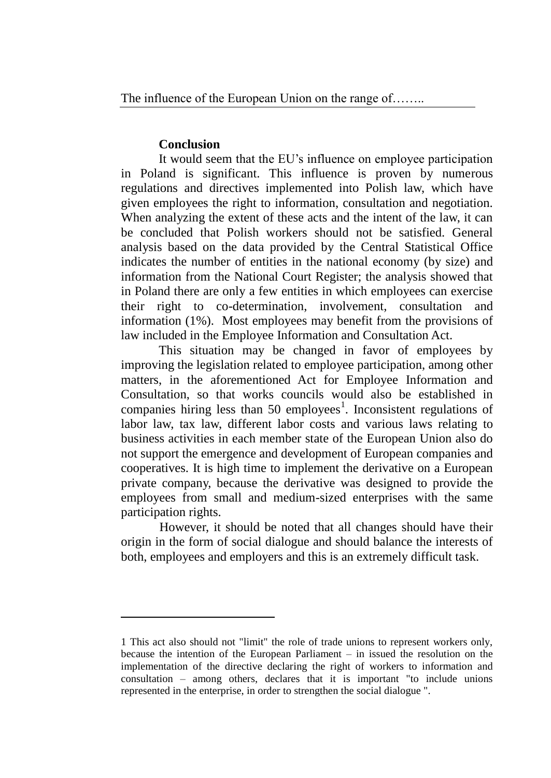### **Conclusion**

 $\overline{a}$ 

It would seem that the EU's influence on employee participation in Poland is significant. This influence is proven by numerous regulations and directives implemented into Polish law, which have given employees the right to information, consultation and negotiation. When analyzing the extent of these acts and the intent of the law, it can be concluded that Polish workers should not be satisfied. General analysis based on the data provided by the Central Statistical Office indicates the number of entities in the national economy (by size) and information from the National Court Register; the analysis showed that in Poland there are only a few entities in which employees can exercise their right to co-determination, involvement, consultation and information (1%). Most employees may benefit from the provisions of law included in the Employee Information and Consultation Act.

This situation may be changed in favor of employees by improving the legislation related to employee participation, among other matters, in the aforementioned Act for Employee Information and Consultation, so that works councils would also be established in companies hiring less than 50 employees<sup>1</sup>. Inconsistent regulations of labor law, tax law, different labor costs and various laws relating to business activities in each member state of the European Union also do not support the emergence and development of European companies and cooperatives. It is high time to implement the derivative on a European private company, because the derivative was designed to provide the employees from small and medium-sized enterprises with the same participation rights.

However, it should be noted that all changes should have their origin in the form of social dialogue and should balance the interests of both, employees and employers and this is an extremely difficult task.

<sup>1</sup> This act also should not "limit" the role of trade unions to represent workers only, because the intention of the European Parliament – in issued the resolution on the implementation of the directive declaring the right of workers to information and consultation – among others, declares that it is important "to include unions represented in the enterprise, in order to strengthen the social dialogue ".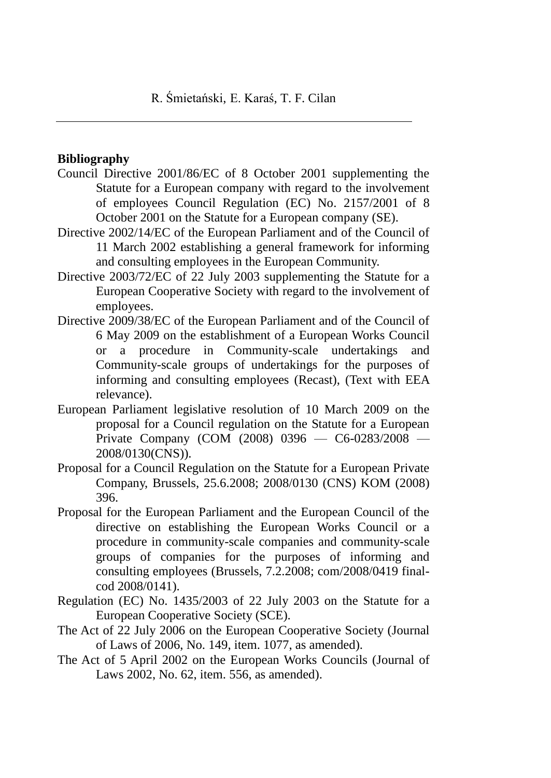### **Bibliography**

- Council Directive 2001/86/EC of 8 October 2001 supplementing the Statute for a European company with regard to the involvement of employees Council Regulation (EC) No. 2157/2001 of 8 October 2001 on the Statute for a European company (SE).
- Directive 2002/14/EC of the European Parliament and of the Council of 11 March 2002 establishing a general framework for informing and consulting employees in the European Community.
- Directive 2003/72/EC of 22 July 2003 supplementing the Statute for a European Cooperative Society with regard to the involvement of employees.
- Directive 2009/38/EC of the European Parliament and of the Council of 6 May 2009 on the establishment of a European Works Council or a procedure in Community-scale undertakings and Community-scale groups of undertakings for the purposes of informing and consulting employees (Recast), (Text with EEA relevance).
- European Parliament legislative resolution of 10 March 2009 on the proposal for a Council regulation on the Statute for a European Private Company (COM (2008) 0396 — C6-0283/2008 — 2008/0130(CNS)).
- Proposal for a Council Regulation on the Statute for a European Private Company, Brussels, 25.6.2008; 2008/0130 (CNS) KOM (2008) 396.
- Proposal for the European Parliament and the European Council of the directive on establishing the European Works Council or a procedure in community-scale companies and community-scale groups of companies for the purposes of informing and consulting employees (Brussels, 7.2.2008; com/2008/0419 finalcod 2008/0141).
- Regulation (EC) No. 1435/2003 of 22 July 2003 on the Statute for a European Cooperative Society (SCE).
- The Act of 22 July 2006 on the European Cooperative Society (Journal of Laws of 2006, No. 149, item. 1077, as amended).
- The Act of 5 April 2002 on the European Works Councils (Journal of Laws 2002, No. 62, item. 556, as amended).